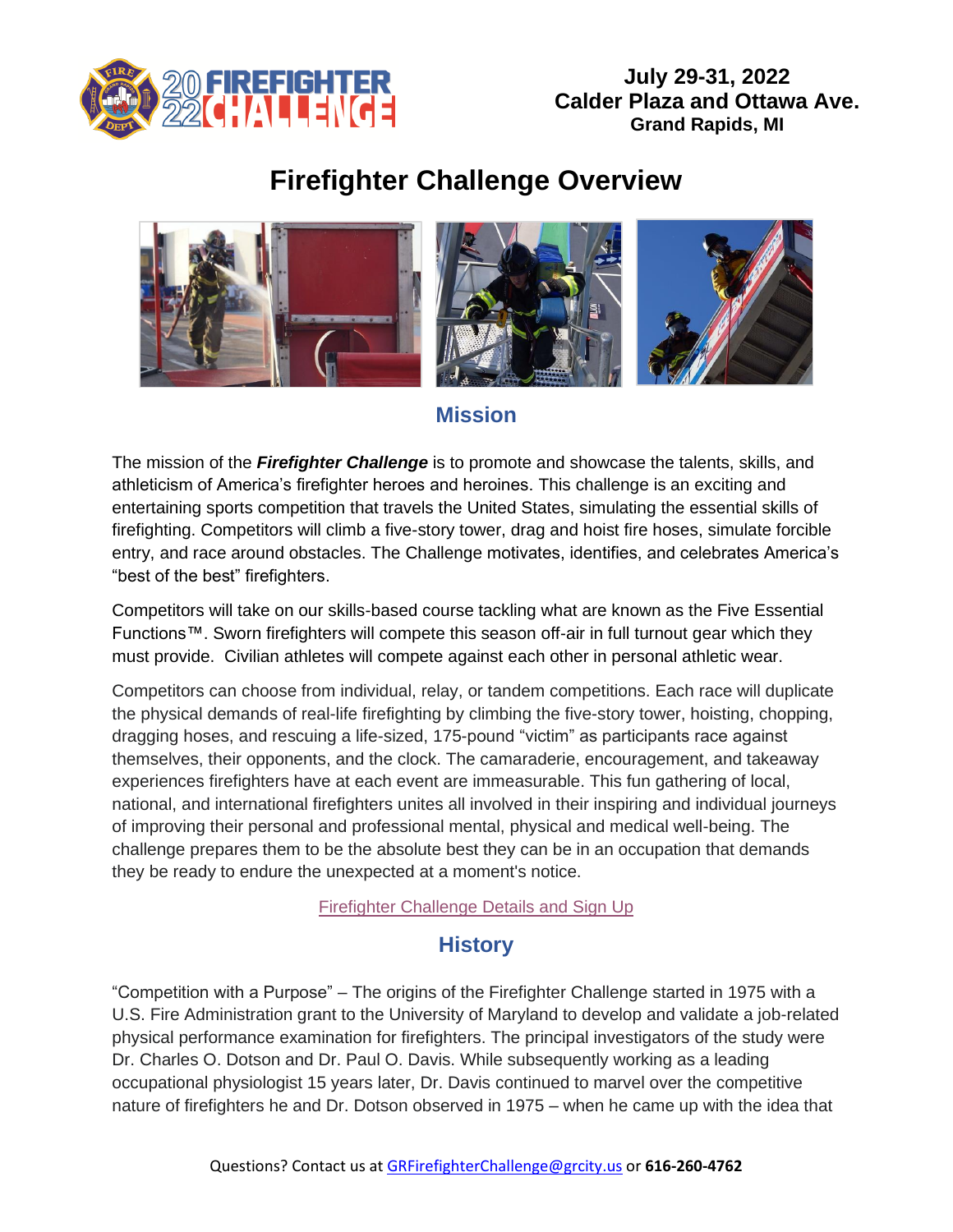

# **Firefighter Challenge Overview**



### **Mission**

The mission of the *Firefighter Challenge* is to promote and showcase the talents, skills, and athleticism of America's firefighter heroes and heroines. This challenge is an exciting and entertaining sports competition that travels the United States, simulating the essential skills of firefighting. Competitors will climb a five-story tower, drag and hoist fire hoses, simulate forcible entry, and race around obstacles. The Challenge motivates, identifies, and celebrates America's "best of the best" firefighters.

Competitors will take on our skills-based course tackling what are known as the Five Essential Functions™. Sworn firefighters will compete this season off-air in full turnout gear which they must provide. Civilian athletes will compete against each other in personal athletic wear.

Competitors can choose from individual, relay, or tandem competitions. Each race will duplicate the physical demands of real-life firefighting by climbing the five-story tower, hoisting, chopping, dragging hoses, and rescuing a life-sized, 175-pound "victim" as participants race against themselves, their opponents, and the clock. The camaraderie, encouragement, and takeaway experiences firefighters have at each event are immeasurable. This fun gathering of local, national, and international firefighters unites all involved in their inspiring and individual journeys of improving their personal and professional mental, physical and medical well-being. The challenge prepares them to be the absolute best they can be in an occupation that demands they be ready to endure the unexpected at a moment's notice.

[Firefighter Challenge Details and Sign Up](https://runsignup.com/Race/MI/GrandRapids/GrandRapidsFirefighterChallenge)

## **History**

"Competition with a Purpose" – The origins of the Firefighter Challenge started in 1975 with a U.S. Fire Administration grant to the University of Maryland to develop and validate a job-related physical performance examination for firefighters. The principal investigators of the study were Dr. Charles O. Dotson and Dr. Paul O. Davis. While subsequently working as a leading occupational physiologist 15 years later, Dr. Davis continued to marvel over the competitive nature of firefighters he and Dr. Dotson observed in 1975 – when he came up with the idea that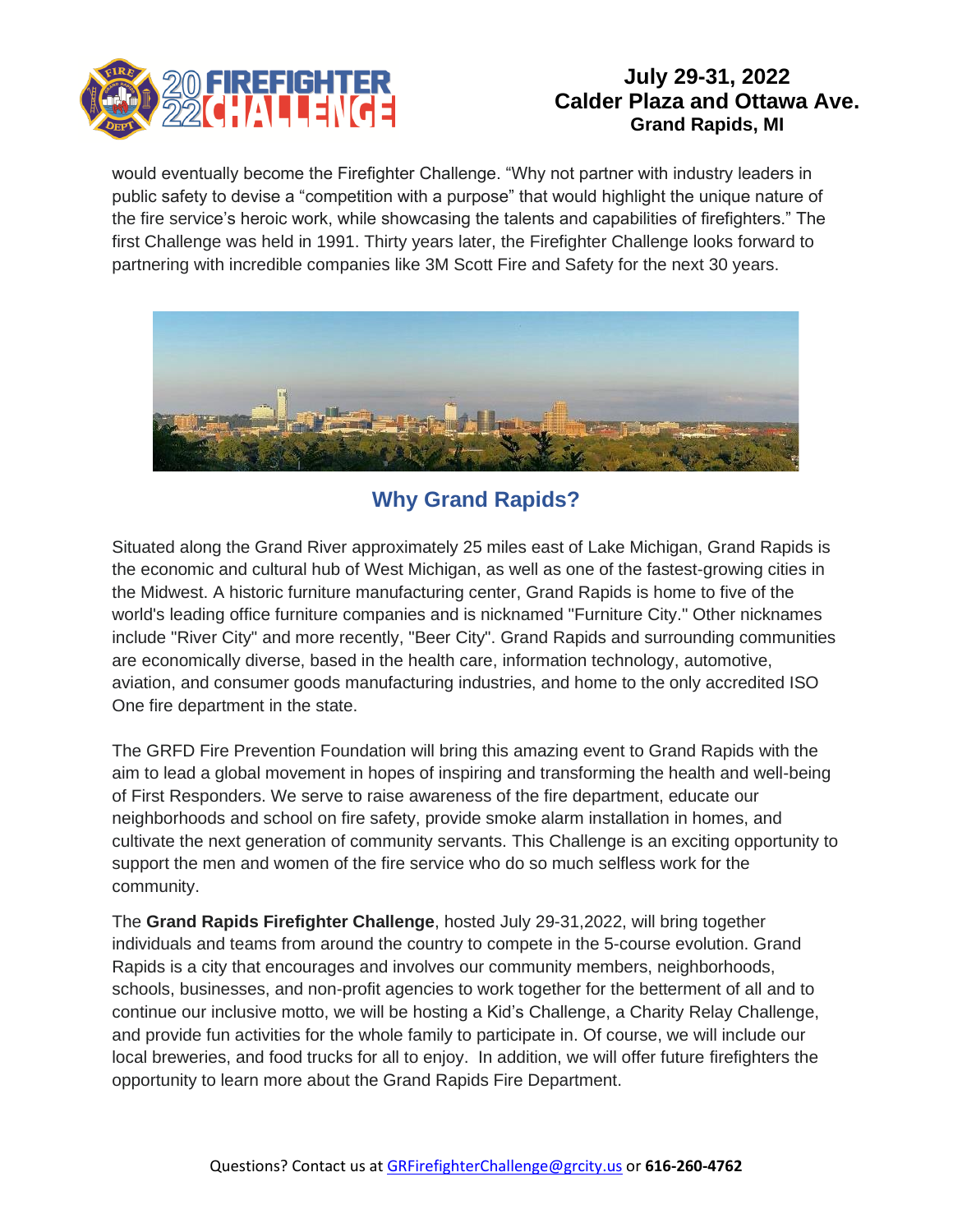

would eventually become the Firefighter Challenge. "Why not partner with industry leaders in public safety to devise a "competition with a purpose" that would highlight the unique nature of the fire service's heroic work, while showcasing the talents and capabilities of firefighters." The first Challenge was held in 1991. Thirty years later, the Firefighter Challenge looks forward to partnering with incredible companies like 3M Scott Fire and Safety for the next 30 years.



## **Why Grand Rapids?**

Situated along the Grand River approximately 25 miles east of Lake Michigan, Grand Rapids is the economic and cultural hub of West Michigan, as well as one of the fastest-growing cities in the Midwest. A historic furniture manufacturing center, Grand Rapids is home to five of the world's leading office furniture companies and is nicknamed "Furniture City." Other nicknames include "River City" and more recently, "Beer City". Grand Rapids and surrounding communities are economically diverse, based in the health care, information technology, automotive, aviation, and consumer goods manufacturing industries, and home to the only accredited ISO One fire department in the state.

The GRFD Fire Prevention Foundation will bring this amazing event to Grand Rapids with the aim to lead a global movement in hopes of inspiring and transforming the health and well-being of First Responders. We serve to raise awareness of the fire department, educate our neighborhoods and school on fire safety, provide smoke alarm installation in homes, and cultivate the next generation of community servants. This Challenge is an exciting opportunity to support the men and women of the fire service who do so much selfless work for the community.

The **Grand Rapids Firefighter Challenge**, hosted July 29-31,2022, will bring together individuals and teams from around the country to compete in the 5-course evolution. Grand Rapids is a city that encourages and involves our community members, neighborhoods, schools, businesses, and non-profit agencies to work together for the betterment of all and to continue our inclusive motto, we will be hosting a Kid's Challenge, a Charity Relay Challenge, and provide fun activities for the whole family to participate in. Of course, we will include our local breweries, and food trucks for all to enjoy. In addition, we will offer future firefighters the opportunity to learn more about the Grand Rapids Fire Department.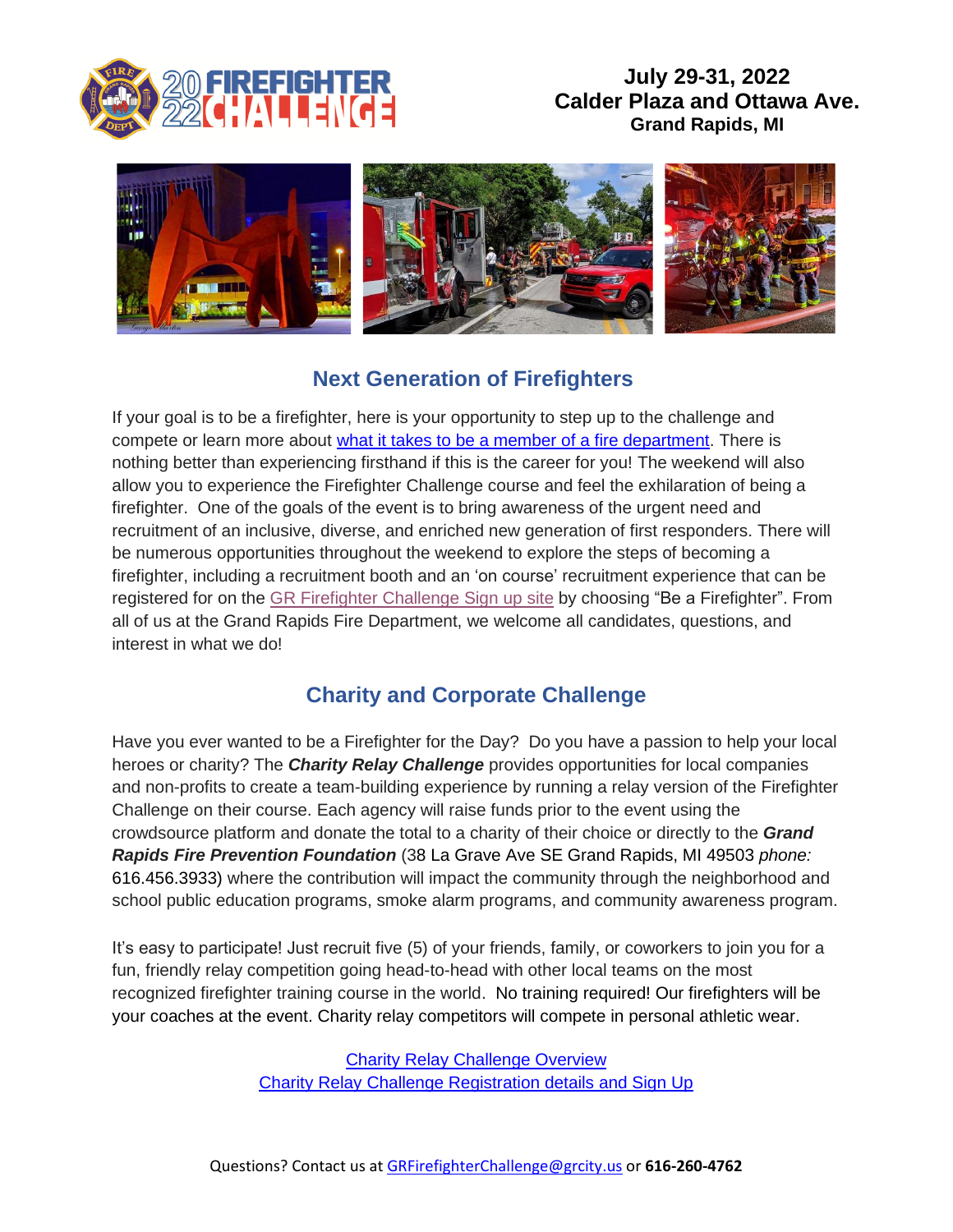



## **Next Generation of Firefighters**

If your goal is to be a firefighter, here is your opportunity to step up to the challenge and compete or learn more about [what it takes to be a member of a fire department.](https://www.grandrapidsmi.gov/Government/Departments/Fire-Department/Fire-Department-Recruitment) There is nothing better than experiencing firsthand if this is the career for you! The weekend will also allow you to experience the Firefighter Challenge course and feel the exhilaration of being a firefighter. One of the goals of the event is to bring awareness of the urgent need and recruitment of an inclusive, diverse, and enriched new generation of first responders. There will be numerous opportunities throughout the weekend to explore the steps of becoming a firefighter, including a recruitment booth and an 'on course' recruitment experience that can be registered for on the GR [Firefighter Challenge Sign up site](https://runsignup.com/Race/Info/MI/GrandRapids/GrandRapidsFirefighterChallenge) by choosing "Be a Firefighter". From all of us at the Grand Rapids Fire Department, we welcome all candidates, questions, and interest in what we do!

## **Charity and Corporate Challenge**

Have you ever wanted to be a Firefighter for the Day? Do you have a passion to help your local heroes or charity? The *Charity Relay Challenge* provides opportunities for local companies and non-profits to create a team-building experience by running a relay version of the Firefighter Challenge on their course. Each agency will raise funds prior to the event using the crowdsource platform and donate the total to a charity of their choice or directly to the *Grand Rapids Fire Prevention Foundation* (38 La Grave Ave SE Grand Rapids, MI 49503 *phone:* 616.456.3933) where the contribution will impact the community through the neighborhood and school public education programs, smoke alarm programs, and community awareness program.

It's easy to participate! Just recruit five (5) of your friends, family, or coworkers to join you for a fun, friendly relay competition going head-to-head with other local teams on the most recognized firefighter training course in the world. No training required! Our firefighters will be your coaches at the event. Charity relay competitors will compete in personal athletic wear.

> **[Charity Relay Challenge](http://charityrelaychallenge.org/) Overview** [Charity Relay Challenge Registration details and Sign Up](https://runsignup.com/Race/MI/GrandRapids/CharityRelayChallengeGrandRapidsMI)